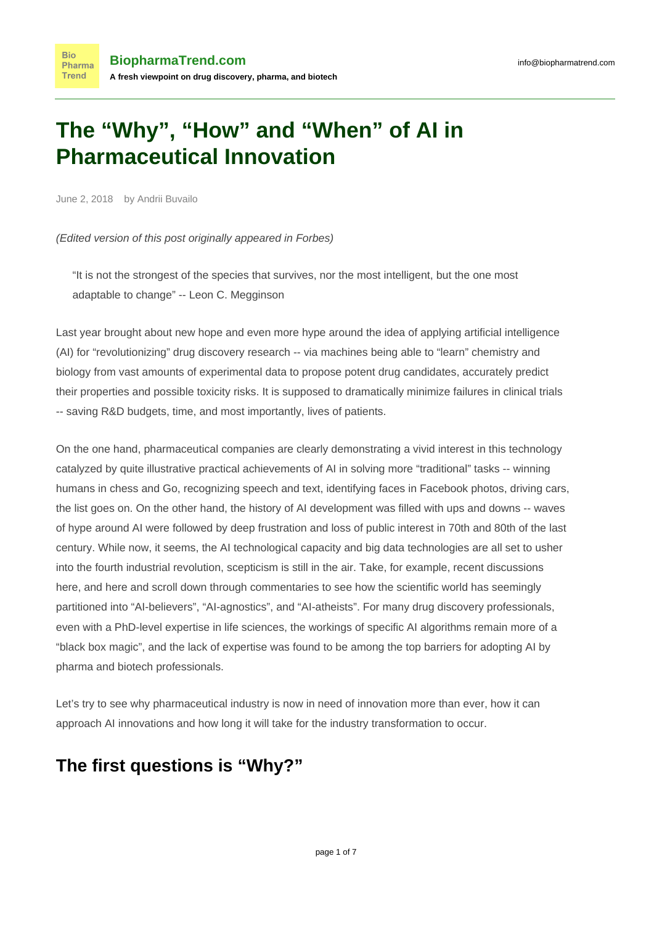# **The "Why", "How" and "When" of AI in Pharmaceutical Innovation**

June 2, 2018 by Andrii Buvailo

(Edited version of this post originally appeared in [Forbes\)](https://www.forbes.com/sites/forbestechcouncil/2018/04/24/the-why-how-and-when-of-ai-in-the-pharmaceutical-industry/#3ed5c5976d07)

"It is not the strongest of the species that survives, nor the most intelligent, but the one most adaptable to change" -- Leon C. Megginson

Last year brought about new hope and even more hype around the idea of applying artificial intelligence (AI) for "revolutionizing" drug discovery research -- via machines being able to "learn" chemistry and biology from vast amounts of experimental data to propose potent drug candidates, accurately predict their properties and possible toxicity risks. It is supposed to dramatically minimize failures in clinical trials -- saving R&D budgets, time, and most importantly, lives of patients.

On the one hand, pharmaceutical companies are clearly demonstrating a [vivid interest](https://www.nature.com/articles/nbt0717-604?WT.ec_id=NBT-201707&spMailingID=54477982&spUserID=NjUwMzkwMjAzNjgS1&spJobID=1201876024&spReportId=MTIwMTg3NjAyNAS2) in this technology catalyzed by quite illustrative practical achievements of AI in solving more "traditional" tasks -- winning humans in chess and Go, recognizing speech and text, identifying faces in Facebook photos, driving cars, the list goes on. On the other hand, the history of AI development was filled with ups and downs -- waves of hype around AI were followed by deep frustration and loss of public interest in 70th and 80th of the last century. While now, it seems, the AI technological capacity and big data technologies are all set to usher into the fourth industrial revolution, scepticism is still in the air. Take, for example, recent discussions [here](http://blogs.sciencemag.org/pipeline/archives/2018/01/10/objections-to-some-drug-discovery-ai), and [here](https://news.ycombinator.com/item?id=16079735) and scroll down through commentaries to see how the scientific world has seemingly partitioned into "AI-believers", "AI-agnostics", and "AI-atheists". For many drug discovery professionals, even with a PhD-level expertise in life sciences, the workings of specific AI algorithms remain more of a "black box magic", and the lack of expertise was found to be among the top barriers for adopting AI by pharma and biotech professionals.

Let's try to see why pharmaceutical industry is now in need of innovation more than ever, how it can approach AI innovations and how long it will take for the industry transformation to occur.

### **The first questions is "Why?"**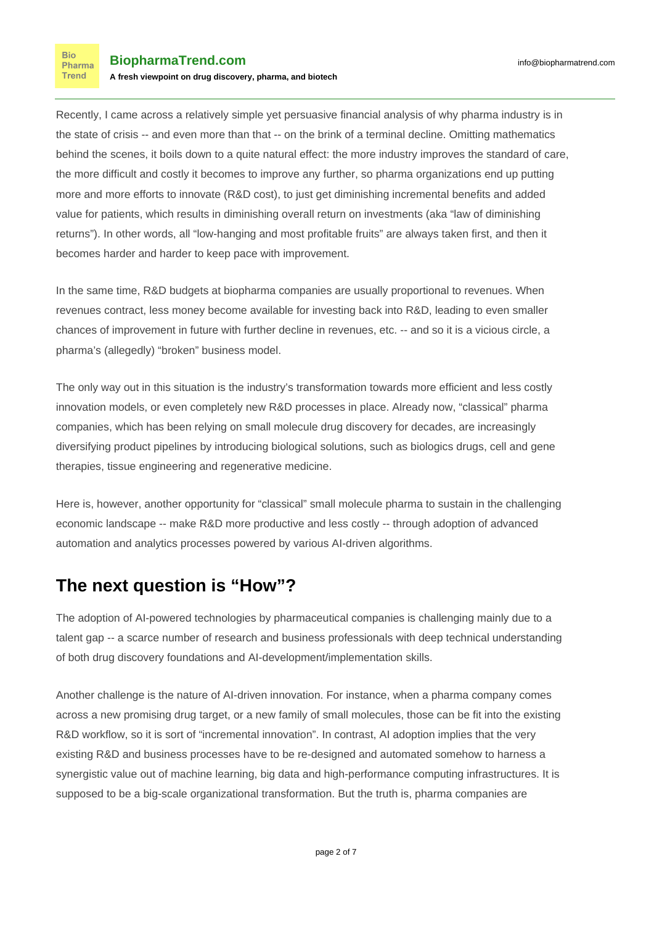Recently, I came across a relatively simple yet persuasive financial analysis of why pharma industry is in the state of crisis -- and even more than that -- on the brink of a terminal decline. Omitting mathematics behind the scenes, it boils down to a quite natural effect: the more industry improves the standard of care, the more difficult and costly it becomes to improve any further, so pharma organizations end up putting more and more efforts to innovate (R&D cost), to just get diminishing incremental benefits and added value for patients, which results in diminishing overall return on investments (aka "law of diminishing returns"). In other words, all "low-hanging and most profitable fruits" are always taken first, and then it becomes harder and harder to keep pace with improvement.

In the same time, R&D budgets at biopharma companies are usually proportional to revenues. When revenues contract, less money become available for investing back into R&D, leading to even smaller chances of improvement in future with further decline in revenues, etc. -- and so it is a vicious circle, a pharma's (allegedly) "broken" business model.

The only way out in this situation is the industry's transformation towards more efficient and less costly innovation models, or even completely new R&D processes in place. Already now, "classical" pharma companies, which has been relying on small molecule drug discovery for decades, are increasingly diversifying product pipelines by introducing biological solutions, such as biologics drugs, cell and gene therapies, tissue engineering and regenerative medicine.

Here is, however, another opportunity for "classical" small molecule pharma to sustain in the challenging economic landscape -- make R&D more productive and less costly -- through adoption of advanced automation and analytics processes powered by various AI-driven algorithms.

### **The next question is "How"?**

The adoption of AI-powered technologies by pharmaceutical companies is challenging mainly due to a talent gap -- a scarce number of research and business professionals with deep technical understanding of both drug discovery foundations and AI-development/implementation skills.

Another challenge is the nature of AI-driven innovation. For instance, when a pharma company comes across a new promising drug target, or a new family of small molecules, those can be fit into the existing R&D workflow, so it is sort of "incremental innovation". In contrast, AI adoption implies that the very existing R&D and business processes have to be re-designed and automated somehow to harness a synergistic value out of machine learning, big data and high-performance computing infrastructures. It is supposed to be a big-scale organizational transformation. But the truth is, pharma companies are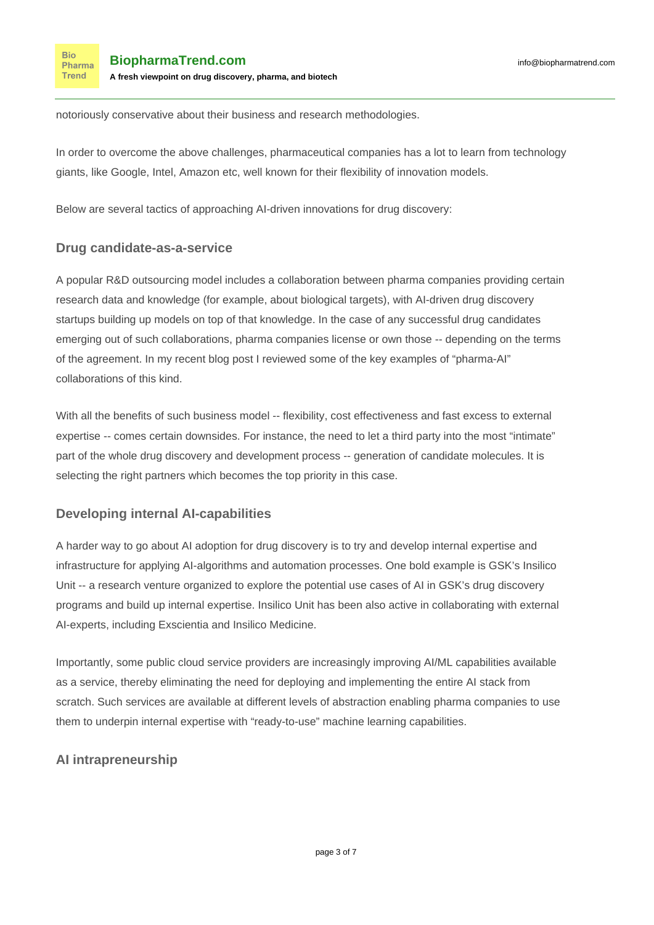notoriously conservative about their business and research methodologies.

In order to overcome the above challenges, pharmaceutical companies has a lot to learn from technology giants, like Google, Intel, Amazon etc, well known for their flexibility of innovation models.

Below are several tactics of approaching AI-driven innovations for drug discovery:

#### **Drug candidate-as-a-service**

**Bio** Pharma Trend

A popular R&D outsourcing model includes a collaboration between pharma companies providing certain research data and knowledge (for example, about biological targets), with AI-driven drug discovery startups building up models on top of that knowledge. In the case of any successful drug candidates emerging out of such collaborations, pharma companies license or own those -- depending on the terms of the agreement. In my recent [blog post](https://www.biopharmatrend.com/post/34-biopharmas-hunt-for-artificial-intelligence-who-does-what/) I reviewed some of the key examples of "pharma-AI" collaborations of this kind.

With all the benefits of such business model -- flexibility, cost effectiveness and fast excess to external expertise -- comes certain downsides. For instance, the need to let a third party into the most "intimate" part of the whole drug discovery and development process -- generation of candidate molecules. It is selecting the right partners which becomes the top priority in this case.

#### **Developing internal AI-capabilities**

A harder way to go about AI adoption for drug discovery is to try and develop internal expertise and infrastructure for applying AI-algorithms and automation processes. One bold example is GSK's [Insilico](https://www.fiercebiotech.com/medtech/gsk-taps-baltimore-s-insilico-for-ai-based-drug-discovery) [Unit](https://www.fiercebiotech.com/medtech/gsk-taps-baltimore-s-insilico-for-ai-based-drug-discovery) -- a research venture organized to explore the potential use cases of AI in GSK's drug discovery programs and build up internal expertise. Insilico Unit has been also active in collaborating with external AI-experts, including Exscientia and Insilico Medicine.

Importantly, some public cloud service providers are increasingly improving AI/ML capabilities available [as a service](https://www.forbes.com/sites/janakirammsv/2018/02/22/the-rise-of-artificial-intelligence-as-a-service-in-the-public-cloud/2/#a953e8a7b0ed), thereby eliminating the need for deploying and implementing the entire AI stack from scratch. Such services are available at [different levels of abstraction](https://medium.com/clouddon/modern-ai-stack-ai-service-consumption-models-f9957dce7b25) enabling pharma companies to use them to underpin internal expertise with "ready-to-use" machine learning capabilities.

#### **AI intrapreneurship**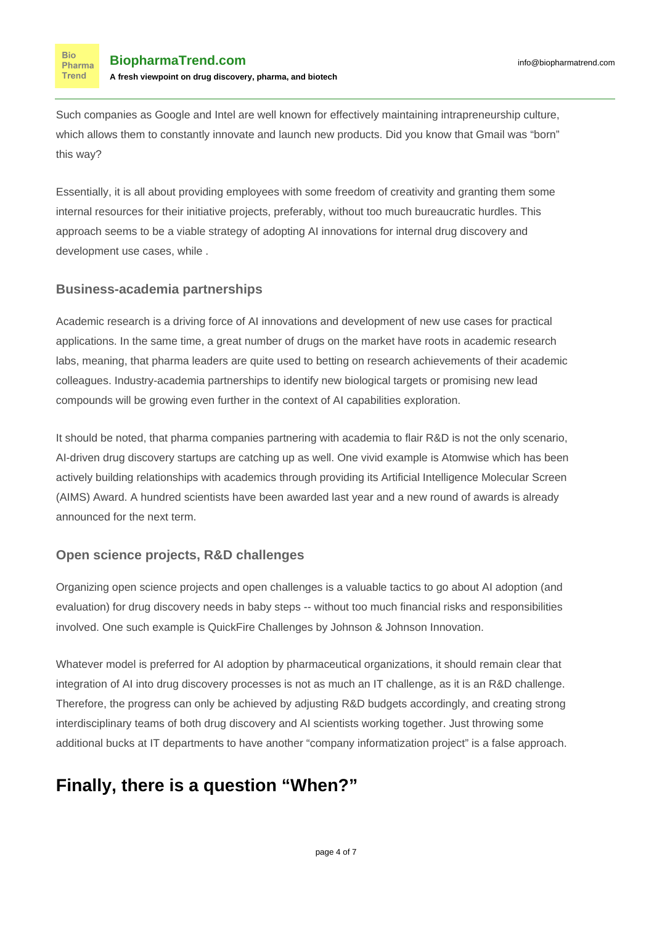**Bio** Pharma **Trend** 

Such companies as Google and Intel are well known for effectively maintaining [intrapreneurship culture,](https://www.forbes.com/sites/georgedeeb/2016/02/18/big-companies-must-embrace-intrapreneurship-to-survive/#2add63d348ab) which allows them to constantly innovate and launch new products. Did you know that Gmail was "born" this way?

Essentially, it is all about providing employees with some freedom of creativity and granting them some internal resources for their initiative projects, preferably, without too much bureaucratic hurdles. This approach seems to be a viable strategy of adopting AI innovations for internal drug discovery and development use cases, while .

#### **Business-academia partnerships**

Academic research is a [driving force](https://www.timeshighereducation.com/data-bites/which-countries-and-universities-are-leading-ai-research#survey-answer) of AI innovations and development of new use cases for practical applications. In the same time, a great number of drugs on the market have roots in academic research labs, meaning, that pharma leaders are quite used to betting on research achievements of their academic colleagues. Industry-academia partnerships to identify new biological targets or promising new lead compounds will be [growing](https://www.biopharmatrend.com/post/30-pharma-rd-outsourcing-is-on-the-rise/) even further in the context of AI capabilities exploration.

It should be noted, that pharma companies partnering with academia to flair R&D is not the only scenario, AI-driven drug discovery startups are catching up as well. One vivid example is Atomwise which has been actively building relationships with academics through providing its Artificial Intelligence Molecular Screen (AIMS) Award. A hundred scientists have been awarded last year and a new round of awards is [already](https://www.prnewswire.com/news-releases/atomwise-expands-its-groundbreaking-artificial-intelligence-screening-program-to-support-academic-projects-worldwide-300658010.html) [announced](https://www.prnewswire.com/news-releases/atomwise-expands-its-groundbreaking-artificial-intelligence-screening-program-to-support-academic-projects-worldwide-300658010.html) for the next term.

#### **Open science projects, R&D challenges**

Organizing [open science projects](https://www.ncbi.nlm.nih.gov/pmc/articles/PMC5369032/) and open challenges is a valuable tactics to go about AI adoption (and evaluation) for drug discovery needs in baby steps -- without too much financial risks and responsibilities involved. One such example is [QuickFire Challenges](https://jlabs.jnjinnovation.com/quickfire-challenges) by Johnson & Johnson Innovation.

Whatever model is preferred for AI adoption by pharmaceutical organizations, it should remain clear that integration of AI into drug discovery processes is not as much an IT challenge, as it is an R&D challenge. Therefore, the progress can only be achieved by adjusting R&D budgets accordingly, and creating strong interdisciplinary teams of both drug discovery and AI scientists working together. Just throwing some additional bucks at IT departments to have another "company informatization project" is a false approach.

# **Finally, there is a question "When?"**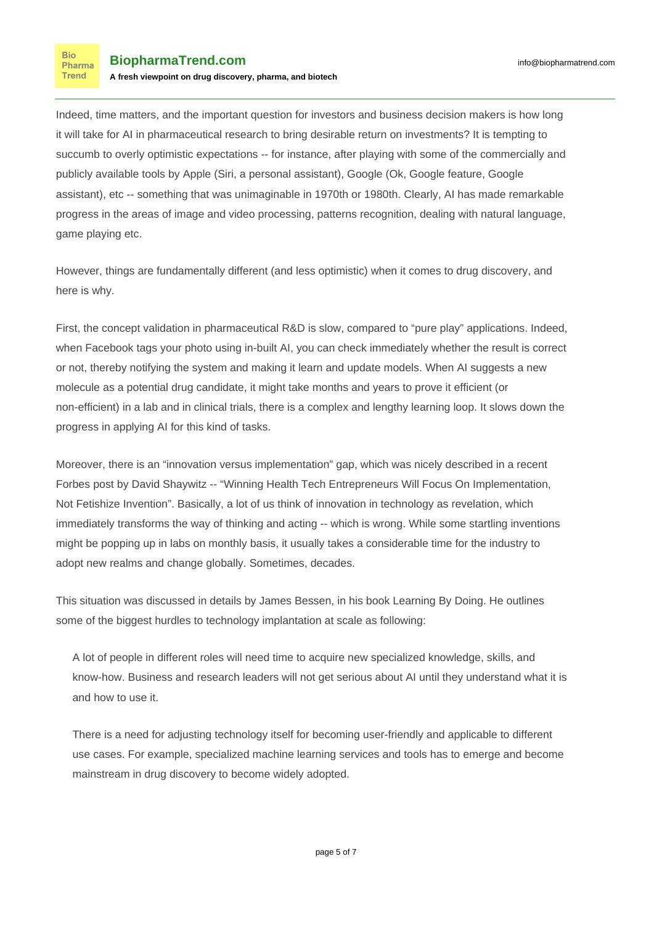Indeed, time matters, and the important question for investors and business decision makers is how long it will take for AI in pharmaceutical research to bring desirable return on investments? It is tempting to succumb to overly optimistic expectations -- for instance, after playing with some of the commercially and publicly available tools by Apple (Siri, a personal assistant), Google (Ok, Google feature, Google assistant), etc -- something that was unimaginable in 1970th or 1980th. Clearly, AI has made remarkable progress in the areas of image and video processing, patterns recognition, dealing with natural language, game playing etc.

However, things are fundamentally different (and less optimistic) when it comes to drug discovery, and here is why.

First, the concept validation in pharmaceutical R&D is slow, compared to "pure play" applications. Indeed, when Facebook tags your photo using in-built AI, you can check immediately whether the result is correct or not, thereby notifying the system and making it learn and update models. When AI suggests a new molecule as a potential drug candidate, it might take months and years to prove it efficient (or non-efficient) in a lab and in clinical trials, there is a complex and lengthy learning loop. It slows down the progress in applying AI for this kind of tasks.

Moreover, there is an "innovation versus implementation" gap, which was nicely described in a recent [Forbes post](https://www.forbes.com/sites/davidshaywitz/2017/12/10/winning-health-tech-entrepreneurs-will-focus-on-implementation-not-fetishize-invention/#673bf9743c20) by David Shaywitz -- "Winning Health Tech Entrepreneurs Will Focus On Implementation, Not Fetishize Invention". Basically, a lot of us think of innovation in technology as revelation, which immediately transforms the way of thinking and acting -- which is wrong. While some startling inventions might be popping up in labs on monthly basis, it usually takes a considerable time for the industry to adopt new realms and change globally. Sometimes, decades.

This situation was discussed in details by James Bessen, in his [book](https://yalebooks.yale.edu/book/9780300195668/learning-doing) Learning By Doing. He outlines some of the biggest hurdles to technology implantation at scale as following:

A lot of people in different roles will need time to acquire new specialized knowledge, skills, and know-how. Business and research leaders will not get serious about AI until they understand what it is and how to use it.

There is a need for adjusting technology itself for becoming user-friendly and applicable to different use cases. For example, specialized machine learning services and tools has to emerge and become mainstream in drug discovery to become widely adopted.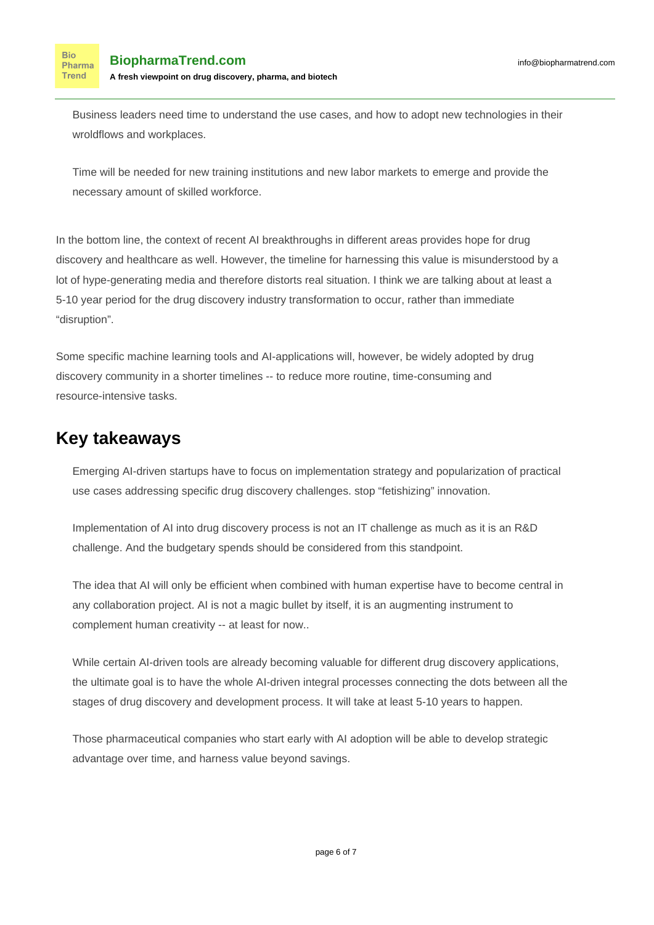**Bio** Pharma Trend

Business leaders need time to understand the use cases, and how to adopt new technologies in their wroldflows and workplaces.

Time will be needed for new training institutions and new labor markets to emerge and provide the necessary amount of skilled workforce.

In the bottom line, the context of recent AI breakthroughs in different areas provides hope for drug discovery and healthcare as well. However, the timeline for harnessing this value is misunderstood by a lot of hype-generating media and therefore distorts real situation. I think we are talking about at least a 5-10 year period for the drug discovery industry transformation to occur, rather than immediate "disruption".

Some specific machine learning tools and AI-applications will, however, be [widely adopted](https://www.forbes.com/sites/jasonbloomberg/2017/07/02/is-ibm-watson-a-joke/#2cf2f340da20) by drug discovery community in a shorter timelines -- to reduce more routine, time-consuming and resource-intensive tasks.

## **Key takeaways**

Emerging AI-driven startups have to focus on implementation strategy and popularization of practical use cases addressing specific drug discovery challenges. stop "fetishizing" innovation.

Implementation of AI into drug discovery process is not an IT challenge as much as it is an R&D challenge. And the budgetary spends should be considered from this standpoint.

The idea that AI will only be efficient when combined with human expertise have to become central in any collaboration project. AI is not a magic bullet by itself, it is an augmenting instrument to complement human creativity -- at least for now..

While certain AI-driven tools are already becoming valuable for different drug discovery applications, the ultimate goal is to have the whole AI-driven integral processes connecting the dots between all the stages of drug discovery and development process. It will take at least 5-10 years to happen.

Those pharmaceutical companies who start early with AI adoption will be able to develop strategic advantage over time, and harness value beyond savings.